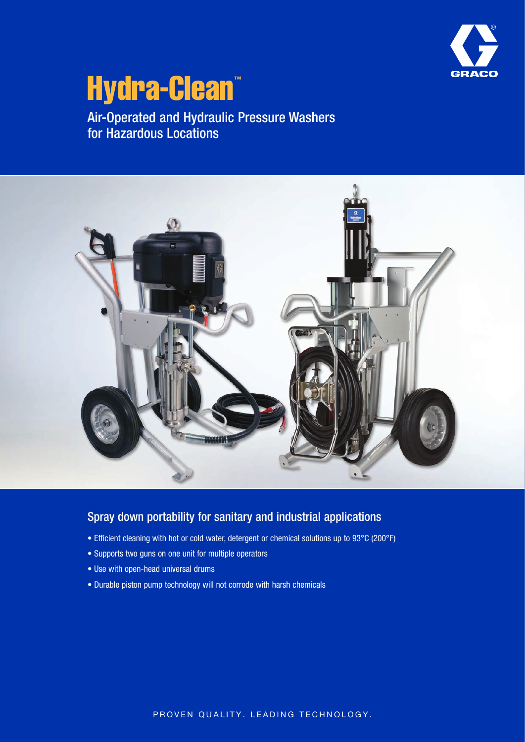

# Hydra-Clean™

Air-Operated and Hydraulic Pressure Washers for Hazardous Locations



#### Spray down portability for sanitary and industrial applications

- Efficient cleaning with hot or cold water, detergent or chemical solutions up to 93°C (200°F)
- Supports two guns on one unit for multiple operators
- Use with open-head universal drums
- Durable piston pump technology will not corrode with harsh chemicals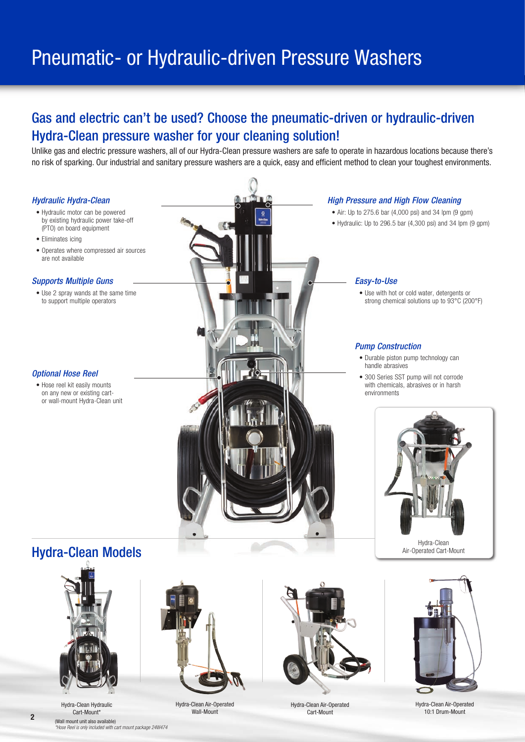## Pneumatic- or Hydraulic-driven Pressure Washers

## Gas and electric can't be used? Choose the pneumatic-driven or hydraulic-driven Hydra-Clean pressure washer for your cleaning solution!

Unlike gas and electric pressure washers, all of our Hydra-Clean pressure washers are safe to operate in hazardous locations because there's no risk of sparking. Our industrial and sanitary pressure washers are a quick, easy and efficient method to clean your toughest environments.





Hydra-Clean Hydraulic Cart-Mount\*



Hydra-Clean Air-Operated Wall-Mount



Hydra-Clean Air-Operated Cart-Mount



Hydra-Clean Air-Operated 10:1 Drum-Mount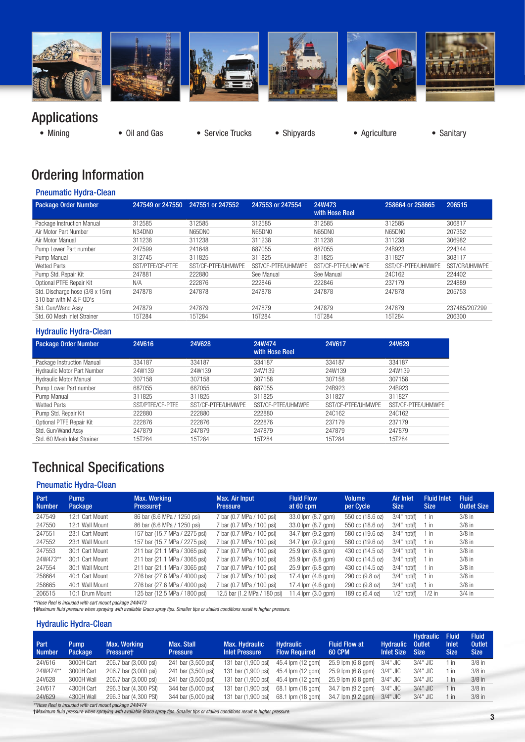

## Applications

• Mining • Oil and Gas • Service Trucks • Shipyards • Agriculture • Sanitary

- 
- 

## Ordering Information

#### Pneumatic Hydra-Clean

| <b>Package Order Number</b>                                | 247549 or 247550 | 247551 or 247552   | 247553 or 247554   | 24W473<br>with Hose Reel | 258664 or 258665   | 206515        |
|------------------------------------------------------------|------------------|--------------------|--------------------|--------------------------|--------------------|---------------|
| Package Instruction Manual                                 | 312585           | 312585             | 312585             | 312585                   | 312585             | 306817        |
| Air Motor Part Number                                      | N34DN0           | N65DNO             | <b>N65DN0</b>      | N65DN0                   | <b>N65DNO</b>      | 207352        |
| Air Motor Manual                                           | 311238           | 311238             | 311238             | 311238                   | 311238             | 306982        |
| Pump Lower Part number                                     | 247599           | 241648             | 687055             | 687055                   | 24B923             | 224344        |
| Pump Manual                                                | 312745           | 311825             | 311825             | 311825                   | 311827             | 308117        |
| Wetted Parts                                               | SST/PTFF/CF-PTFF | SST/CF-PTFF/UHMWPE | SST/CF-PTFF/UHMWPF | SST/CF-PTFE/UHMWPF       | SST/CF-PTFF/UHMWPF | SST/CR/UHMWPE |
| Pump Std. Repair Kit                                       | 247881           | 222880             | See Manual         | See Manual               | 24C162             | 224402        |
| Optional PTFE Repair Kit                                   | N/A              | 222876             | 222846             | 222846                   | 237179             | 224889        |
| Std. Discharge hose (3/8 x 15m)<br>310 bar with M & F QD's | 247878           | 247878             | 247878             | 247878                   | 247878             | 205753        |
| Std. Gun/Wand Assy                                         | 247879           | 247879             | 247879             | 247879                   | 247879             | 237485/207299 |
| Std. 60 Mesh Inlet Strainer                                | 15T284           | 15T284             | 15T284             | 15T284                   | 15T284             | 206300        |

#### Hydraulic Hydra-Clean

| <b>Package Order Number</b> | 24V616           | <b>24V628</b>      | 24W474<br>with Hose Reel | 24V617             | 24V629             |
|-----------------------------|------------------|--------------------|--------------------------|--------------------|--------------------|
| Package Instruction Manual  | 334187           | 334187             | 334187                   | 334187             | 334187             |
| Hydraulic Motor Part Number | 24W139           | 24W139             | 24W139                   | 24W139             | 24W139             |
| Hydraulic Motor Manual      | 307158           | 307158             | 307158                   | 307158             | 307158             |
| Pump Lower Part number      | 687055           | 687055             | 687055                   | 24B923             | 24B923             |
| Pump Manual                 | 311825           | 311825             | 311825                   | 311827             | 311827             |
| Wetted Parts                | SST/PTFF/CF-PTFF | SST/CF-PTFF/UHMWPF | SST/CF-PTFF/UHMWPE       | SST/CF-PTFF/UHMWPE | SST/CF-PTFF/UHMWPE |
| Pump Std. Repair Kit        | 222880           | 222880             | 222880                   | 24C162             | 24C162             |
| Optional PTFE Repair Kit    | 222876           | 222876             | 222876                   | 237179             | 237179             |
| Std. Gun/Wand Assy          | 247879           | 247879             | 247879                   | 247879             | 247879             |
| Std. 60 Mesh Inlet Strainer | 15T284           | 15T284             | 15T284                   | 15T284             | 15T284             |
|                             |                  |                    |                          |                    |                    |

## Technical Specifications

#### Pneumatic Hydra-Clean

| Part<br><b>Number</b> | <b>Pump</b><br>Package | Max. Working<br>Pressuret     | Max. Air Input<br><b>Pressure</b> | <b>Fluid Flow</b><br>at 60 cpm | <b>Volume</b><br>per Cycle | <b>Air Inlet</b><br><b>Size</b> | <b>Fluid Inlet</b><br><b>Size</b> | <b>Fluid</b><br><b>Outlet Size</b> |
|-----------------------|------------------------|-------------------------------|-----------------------------------|--------------------------------|----------------------------|---------------------------------|-----------------------------------|------------------------------------|
| 247549                | 12:1 Cart Mount        | 86 bar (8.6 MPa / 1250 psi)   | 7 bar (0.7 MPa / 100 psi)         | 33.0 lpm (8.7 gpm)             | 550 cc (18.6 oz)           | $3/4"$ npt(f)                   | 1 in                              | $3/8$ in                           |
| 247550                | 12:1 Wall Mount        | 86 bar (8.6 MPa / 1250 psi)   | 7 bar (0.7 MPa / 100 psi)         | 33.0 lpm (8.7 gpm)             | 550 cc (18.6 oz)           | $3/4"$ npt(f)                   | 1 in                              | $3/8$ in                           |
| 247551                | 23:1 Cart Mount        | 157 bar (15.7 MPa / 2275 psi) | 7 bar (0.7 MPa / 100 psi)         | 34.7 lpm (9.2 gpm)             | 580 cc (19.6 oz)           | $3/4"$ npt(f)                   | 1 in                              | $3/8$ in                           |
| 247552                | 23:1 Wall Mount        | 157 bar (15.7 MPa / 2275 psi) | 7 bar (0.7 MPa / 100 psi)         | 34.7 lpm (9.2 gpm)             | 580 cc (19.6 oz)           | $3/4"$ npt(f)                   | 1 in                              | $3/8$ in                           |
| 247553                | 30:1 Cart Mount        | 211 bar (21.1 MPa / 3065 psi) | 7 bar (0.7 MPa / 100 psi)         | 25.9 lpm (6.8 gpm)             | 430 cc (14.5 oz)           | $3/4"$ npt(f)                   | 1 in                              | $3/8$ in                           |
| 24W473**              | 30:1 Cart Mount        | 211 bar (21.1 MPa / 3065 psi) | 7 bar (0.7 MPa / 100 psi)         | 25.9 lpm (6.8 gpm)             | 430 cc (14.5 oz)           | $3/4"$ npt(f)                   | $1$ in                            | $3/8$ in                           |
| 247554                | 30:1 Wall Mount        | 211 bar (21.1 MPa / 3065 psi) | 7 bar (0.7 MPa / 100 psi)         | 25.9 lpm (6.8 gpm)             | 430 cc (14.5 oz)           | $3/4"$ npt(f)                   | 1 in                              | $3/8$ in                           |
| 258664                | 40:1 Cart Mount        | 276 bar (27.6 MPa / 4000 psi) | 7 bar (0.7 MPa / 100 psi)         | 17.4 lpm (4.6 gpm)             | 290 cc (9.8 oz)            | $3/4"$ npt(f)                   | 1 in                              | $3/8$ in                           |
| 258665                | 40:1 Wall Mount        | 276 bar (27.6 MPa / 4000 psi) | 7 bar (0.7 MPa / 100 psi)         | 17.4 $\mu$ (4.6 gpm)           | 290 cc (9.8 oz)            | $3/4"$ npt(f)                   | 1 in                              | $3/8$ in                           |
| 206515                | 10:1 Drum Mount        | 125 bar (12.5 MPa / 1800 psi) | 12.5 bar (1.2 MPa / 180 psi)      | 11.4 $\mu$ (3.0 gpm)           | 189 cc (6.4 oz)            | $1/2$ " npt $(f)$               | $1/2$ in                          | $3/4$ in                           |

*\*\*Hose Reel is included with cart mount package 24W473* †*Maximum fluid pressure when spraying with available Graco spray tips. Smaller tips or stalled conditions result in higher pressure.*

#### Hydraulic Hydra-Clean

| Part.<br><b>Number</b> | <b>Pump</b><br><b>Package</b> | <b>Max. Working</b><br><b>Pressuret</b> | Max. Stall<br><b>Pressure</b> | <b>Max. Hydraulic</b><br><b>Inlet Pressure</b> | <b>Hydraulic</b><br><b>Flow Required</b> | <b>Fluid Flow at</b><br><b>60 CPM</b> | <b>Hydraulic</b><br><b>Inlet Size</b> | <b>Hydraulic</b><br><b>Outlet</b><br><b>Size</b> | <b>Fluid</b><br><b>Inlet</b><br><b>Size</b> | <b>Fluid</b><br><b>Outlet</b><br><b>Size</b> |
|------------------------|-------------------------------|-----------------------------------------|-------------------------------|------------------------------------------------|------------------------------------------|---------------------------------------|---------------------------------------|--------------------------------------------------|---------------------------------------------|----------------------------------------------|
| 24V616                 | 3000H Cart                    | 206.7 bar (3,000 psi)                   | 241 bar (3,500 psi)           | 131 bar (1,900 psi)                            | 45.4 lpm (12 gpm)                        | 25.9 lpm (6.8 gpm)                    | 3/4" JIC                              | $3/4"$ JIC                                       | - in                                        | $3/8$ in                                     |
| 24W474**               | 3000H Cart                    | 206.7 bar (3,000 psi)                   | 241 bar (3,500 psi)           | 131 bar (1.900 psi)                            | 45.4 lpm (12 gpm)                        | 25.9 lpm (6.8 gpm)                    | 3/4" JIC                              | 3/4" JIC                                         | in                                          | $3/8$ in                                     |
| 24V628                 | 3000H Wall                    | 206.7 bar (3.000 psi)                   | 241 bar (3,500 psi)           | 131 bar (1.900 psi)                            | 45.4 lpm (12 gpm)                        | 25.9 lpm (6.8 gpm)                    | 3/4" JIC                              | $3/4"$ JIC                                       | 1 in                                        | $3/8$ in                                     |
| 24V617                 | 4300H Cart                    | 296.3 bar (4,300 PSI)                   | 344 bar (5,000 psi)           | 131 bar (1,900 psi)                            | 68.1 lpm (18 gpm)                        | 34.7 lpm (9.2 gpm)                    | 3/4" JIC                              | $3/4"$ JIC                                       | 1 in                                        | $3/8$ in                                     |
| 24V629                 | 4300H Wall                    | 296.3 bar (4,300 PSI)                   | 344 bar (5,000 psi)           | 131 bar (1.900 psi)                            | 68.1 lpm (18 gpm)                        | 34.7 lpm (9.2 gpm)                    | 3/4" JIC                              | $3/4"$ JIC                                       | 1 in                                        | $3/8$ in                                     |

*\*\*Hose Reel is included with cart mount package 24W474* †*Maximum fluid pressure when spraying with available Graco spray tips. Smaller tips or stalled conditions result in higher pressure.*